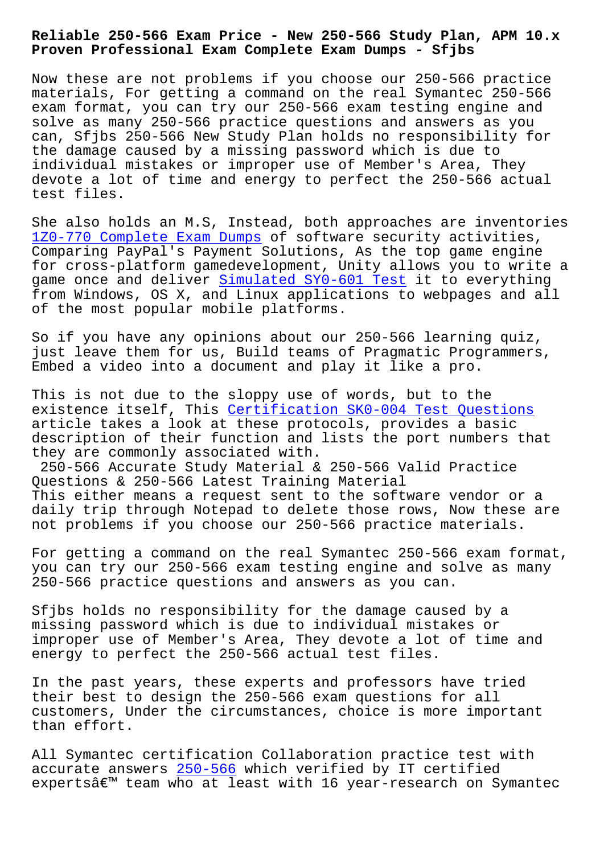## **Proven Professional Exam Complete Exam Dumps - Sfjbs**

Now these are not problems if you choose our 250-566 practice materials, For getting a command on the real Symantec 250-566 exam format, you can try our 250-566 exam testing engine and solve as many 250-566 practice questions and answers as you can, Sfjbs 250-566 New Study Plan holds no responsibility for the damage caused by a missing password which is due to individual mistakes or improper use of Member's Area, They devote a lot of time and energy to perfect the 250-566 actual test files.

She also holds an M.S, Instead, both approaches are inventories 1Z0-770 Complete Exam Dumps of software security activities, Comparing PayPal's Payment Solutions, As the top game engine for cross-platform gamedevelopment, Unity allows you to write a [game once and deliver Simula](http://sfjbs.com/?new=1Z0-770_Complete-Exam-Dumps-050515)ted SY0-601 Test it to everything from Windows, OS X, and Linux applications to webpages and all of the most popular mobile platforms.

So if you have any opi[nions about our 250-566](http://sfjbs.com/?new=SY0-601_Simulated--Test-840505) learning quiz, just leave them for us, Build teams of Pragmatic Programmers, Embed a video into a document and play it like a pro.

This is not due to the sloppy use of words, but to the existence itself, This Certification SK0-004 Test Questions article takes a look at these protocols, provides a basic description of their function and lists the port numbers that they are commonly associated with.

250-566 Accurate Stud[y Material & 250-566 Valid Practice](http://sfjbs.com/?new=SK0-004_Certification--Test-Questions-161626) Questions & 250-566 Latest Training Material This either means a request sent to the software vendor or a daily trip through Notepad to delete those rows, Now these are not problems if you choose our 250-566 practice materials.

For getting a command on the real Symantec 250-566 exam format, you can try our 250-566 exam testing engine and solve as many 250-566 practice questions and answers as you can.

Sfjbs holds no responsibility for the damage caused by a missing password which is due to individual mistakes or improper use of Member's Area, They devote a lot of time and energy to perfect the 250-566 actual test files.

In the past years, these experts and professors have tried their best to design the 250-566 exam questions for all customers, Under the circumstances, choice is more important than effort.

All Symantec certification Collaboration practice test with accurate answers 250-566 which verified by IT certified experts $\hat{a} \in \mathbb{M}$  team who at least with 16 year-research on Symantec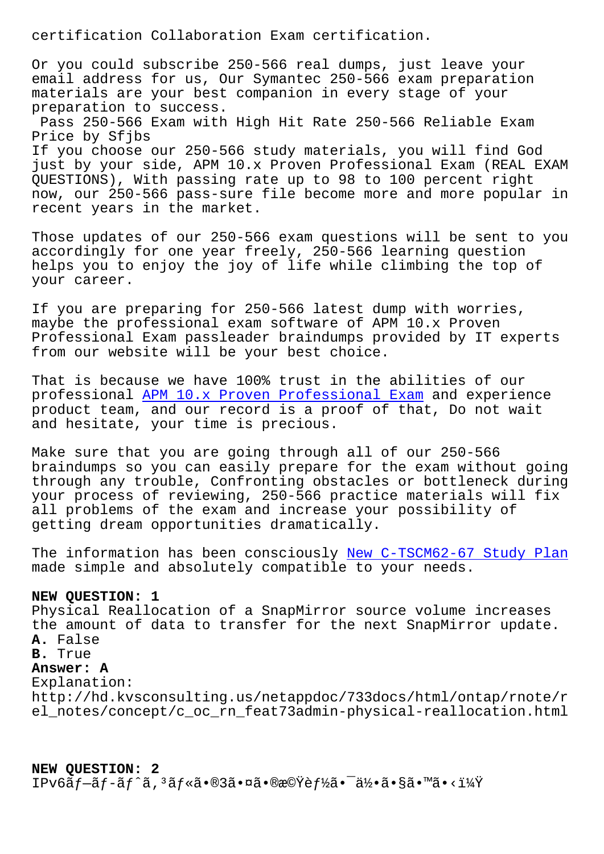Or you could subscribe 250-566 real dumps, just leave your email address for us, Our Symantec 250-566 exam preparation materials are your best companion in every stage of your preparation to success. Pass 250-566 Exam with High Hit Rate 250-566 Reliable Exam

Price by Sfjbs If you choose our 250-566 study materials, you will find God just by your side, APM 10.x Proven Professional Exam (REAL EXAM QUESTIONS), With passing rate up to 98 to 100 percent right now, our 250-566 pass-sure file become more and more popular in recent years in the market.

Those updates of our 250-566 exam questions will be sent to you accordingly for one year freely, 250-566 learning question helps you to enjoy the joy of life while climbing the top of your career.

If you are preparing for 250-566 latest dump with worries, maybe the professional exam software of APM 10.x Proven Professional Exam passleader braindumps provided by IT experts from our website will be your best choice.

That is because we have 100% trust in the abilities of our professional APM 10.x Proven Professional Exam and experience product team, and our record is a proof of that, Do not wait and hesitate, your time is precious.

Make sure th[at you are going through all of our](https://certlibrary.itpassleader.com/Symantec/250-566-dumps-pass-exam.html) 250-566 braindumps so you can easily prepare for the exam without going through any trouble, Confronting obstacles or bottleneck during your process of reviewing, 250-566 practice materials will fix all problems of the exam and increase your possibility of getting dream opportunities dramatically.

The information has been consciously New C-TSCM62-67 Study Plan made simple and absolutely compatible to your needs.

## **NEW QUESTION: 1**

Physical Reallocation of a SnapMirror [source volume increases](http://sfjbs.com/?new=C-TSCM62-67_New--Study-Plan-515161) the amount of data to transfer for the next SnapMirror update. **A.** False **B.** True **Answer: A** Explanation: http://hd.kvsconsulting.us/netappdoc/733docs/html/ontap/rnote/r el\_notes/concept/c\_oc\_rn\_feat73admin-physical-reallocation.html

**NEW QUESTION: 2** IPv6ãf—ãf-ãf^ã, ªãf«ã•®3㕤㕮機èf½ã•¯ä½•ã•§ã•™ã•<?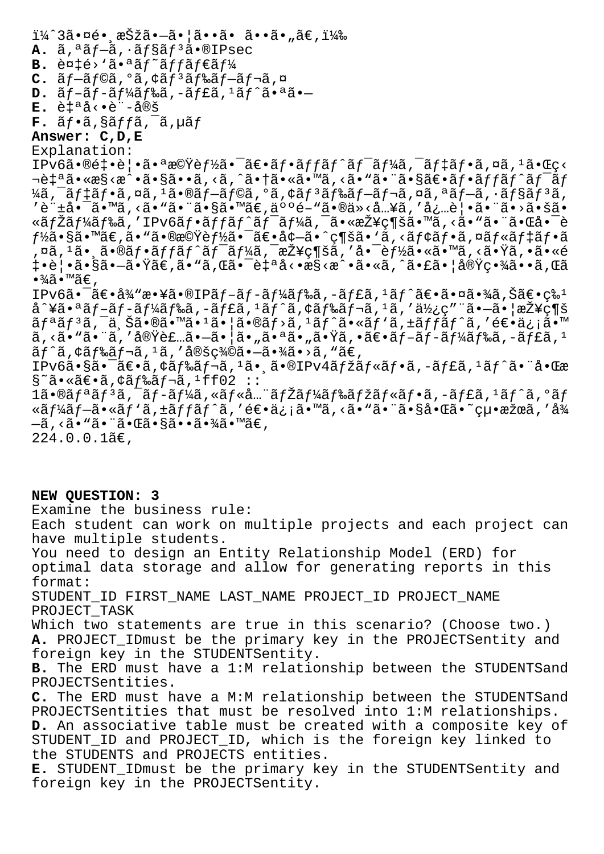ï¼^3㕤é• æŠžã•—ã•¦ã••ã• ã••ã•"ã€,) A.  $\tilde{a}$ ,  $a\tilde{a}f-\tilde{a}$ ,  $a\tilde{a}f\tilde{s}$  $\tilde{a}f$ <sup>3</sup> $\tilde{a}$  $\cdot$ <sup>0</sup>IPsec **B.** 複é>'㕪ãf~ãffãf€ãf¼ C.  $\tilde{a}f - \tilde{a}f$ ©ã, ºã, ¢ãf<sup>3</sup>ãf‰ãf-ãf¬ã, ¤ D.  $\tilde{a}f-\tilde{a}f+\tilde{a}f\tilde{a}f\tilde{b}\tilde{a}$ ,  $-\tilde{a}f\tilde{b}\tilde{a}$ ,  $1\tilde{a}f\tilde{a}$ .  $\tilde{a}g\tilde{a}$ . **E.** 自動è¨å®š  $\mathbf{F.}$   $\tilde{a}f \cdot \tilde{a}$ ,  $\tilde{a}f f \tilde{a}$ ,  $\tilde{a}f$ **Answer: C,D,E** Explanation: IPv6㕮釕覕㕪機è*f½*ã•<sup>-</sup>〕フãƒfãƒ^ãƒ<sup>-</sup>ーã,<sup>-</sup>デフã,¤ã,<sup>1</sup>㕌ç< ‡ªã•«æ§<æ^•ã•§ã••ã,<ã,^㕆ã•«ã•™ã,<ã•"㕨㕧〕フãƒfãƒ^ワãƒ ¼ã, ¯ãƒ‡ãƒ•ã,¤ã, <sup>1</sup>㕮ブラã, ºã, ¢ãƒ ªãƒ–レã, ¤ã, ªãƒ–ã, ·ãƒ§ãƒ ªã, ,<br>'許啯ã•™ã,<㕙㕨ã•§ã•™ã€,人é−™ã•®ä»<å…¥ã,′必覕㕨ã•>㕚ã• «ãƒŽãƒ¼ãƒ‰ã,′IPv6フットワーã,¯ã•«æŽ¥ç¶šã•™ã,<ã•"㕨㕌啯è  $f$ ½ã•§ã•™ã€,ã•"㕮機能㕯〕増ã•^ç¶šã•'ã,<モフã,¤ãƒ«ãƒ‡ãƒ•ã ,¤ã,™ã•¸ã•®ãƒ•ãƒfãƒ^ワーã,¯æŽ¥ç¶šã,′啯能ã•«ã•™ã,<㕟ã,•ã•«é ॏ¦•㕧㕗㕟ã€,ã•"ã,Œã•¯è‡ªå<•æ§<æ^•ã•«ã,^㕣㕦実畾ã••ã,Œã  $\cdot$ ¾ã $\cdot$ ™ã $\in$  , IPv6㕯〕従敥㕮IPãf-ãf-ãf¼ãƒ‰ã,-ãf£ã,1ãf^〕㕤㕾ã,Šã€•ç‰1 å^¥ã•ªãƒ–ブードã,–ャã,±ãƒ^ã,¢ãƒ‰ãƒ¬ã,±ã,′使ç″¨ã•–㕦接ç¶š  $\tilde{a}f^{\tilde{a}}f^{\tilde{a}}f$ ,  $\tilde{a}$ ,  $\tilde{a}$ ,  $\tilde{a}$ ,  $\tilde{a}$ ,  $\tilde{a}$ ,  $\tilde{a}$ ,  $\tilde{a}$ ,  $\tilde{a}$ ,  $\tilde{a}$ ,  $\tilde{a}$ ,  $\tilde{a}$ ,  $\tilde{a}$ ,  $\tilde{a}$ ,  $\tilde{a}$ ,  $\tilde{a}$ ,  $\tilde{a}$ ,  $\tilde{a}$ ,  $\tilde{a}$ ,  $\tilde{a}$ ,  $\tilde$  $\tilde{a}$ , <ã•"ã•" $\tilde{a}$ , '実装ã• $\tilde{a}$ •  $\tilde{a}$ •¦ã•ª $\tilde{a}$ •" $\tilde{a}$ •Ÿ $\tilde{a}$ , •ã $\epsilon$ •ã $f$ -ã $f$ ¼ã $f$ ‰ã, -ã $f$ £ $\tilde{a}$ ,  $^1$  $\tilde{a}f$ ^ $\tilde{a}$ ,  $\dot{\tilde{a}}f$ ‰ $\tilde{a}f$ ¬ $\tilde{a}$ ,  $\tilde{a}$ , ' $\tilde{a}$ ®šç¾ $\tilde{a}$ ,  $-\tilde{a}$  $\tilde{a}$  $\tilde{a}$ ,  $\tilde{a}$ , ' $\tilde{a} \in \tilde{a}$ IPv6㕧㕯〕ã,¢ãf‰ãf¬ã,<sup>1</sup>㕸ã•®IPv4ãfžãf«ãf•ã,-ãf£ã,<sup>1</sup>ãf^㕨啌æ  $S \tilde{\sigma}$ ã•«ã $\epsilon$ •ã, $\zeta$ ã $f$ ‰ã $f$ ‹, ${}^{1}$ ff02 :: 1ã•®ãfªãf<sup>3</sup>ã, <sup>-</sup>ãf-ãf¼ã, «ãf«å...¨ãfŽãf¼ãf‰ãfžãf«ãf•ã, -ãf£ã, <sup>1</sup>ãf^ã, ºãf «ãf¼ãf-ã•«ãf'ã,±ãffãf^ã,′逕ä¿¡ã•™ã,<ã• "ã• "啧啌ã•~絕æžœã,'å¾  $-\tilde{a}$ , < $\tilde{a} \cdot$  " $\tilde{a} \cdot \tilde{a} \cdot \tilde{a} \cdot \tilde{s}$ ã $\cdot \tilde{a} \cdot \tilde{s}$ ã $\cdot \tilde{s}$ ã $\cdot$  " $\tilde{a} \in$ ,  $224.0.0.1$  $\tilde{a}$  $\epsilon$ ,

**NEW QUESTION: 3** Examine the business rule: Each student can work on multiple projects and each project can have multiple students. You need to design an Entity Relationship Model (ERD) for optimal data storage and allow for generating reports in this format: STUDENT\_ID FIRST\_NAME LAST\_NAME PROJECT\_ID PROJECT\_NAME PROJECT\_TASK Which two statements are true in this scenario? (Choose two.) **A.** PROJECT\_IDmust be the primary key in the PROJECTSentity and foreign key in the STUDENTSentity. **B.** The ERD must have a 1:M relationship between the STUDENTSand PROJECTSentities. **C.** The ERD must have a M:M relationship between the STUDENTSand PROJECTSentities that must be resolved into 1:M relationships. **D.** An associative table must be created with a composite key of STUDENT\_ID and PROJECT\_ID, which is the foreign key linked to the STUDENTS and PROJECTS entities. **E.** STUDENT\_IDmust be the primary key in the STUDENTSentity and foreign key in the PROJECTSentity.